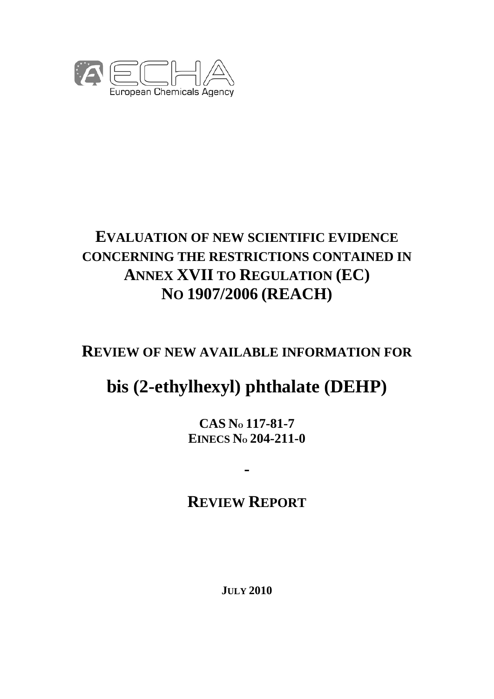

# **EVALUATION OF NEW SCIENTIFIC EVIDENCE CONCERNING THE RESTRICTIONS CONTAINED IN ANNEX XVII TO REGULATION (EC) NO 1907/2006 (REACH)**

# **REVIEW OF NEW AVAILABLE INFORMATION FOR**

# **bis (2-ethylhexyl) phthalate (DEHP)**

**CAS NO 117-81-7 EINECS NO 204-211-0** 

# **REVIEW REPORT**

**-** 

**JULY 2010**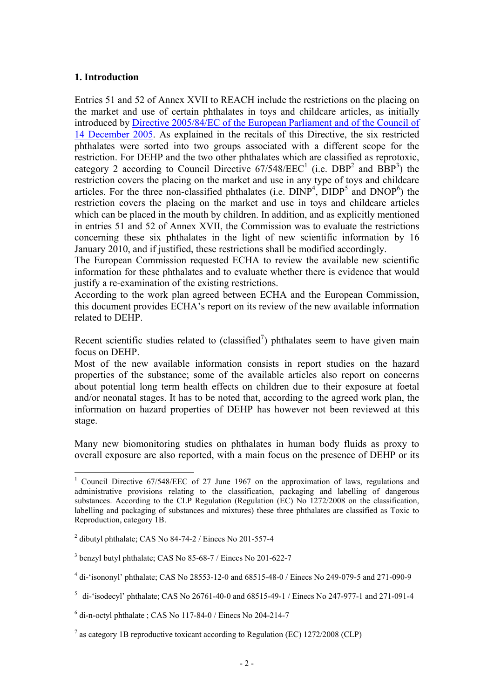# **1. Introduction**

 $\overline{a}$ 

Entries 51 and 52 of Annex XVII to REACH include the restrictions on the placing on the market and use of certain phthalates in toys and childcare articles, as initially [introduced by Directive 2005/84/EC of the European Parliament and of the Council of](http://eur-lex.europa.eu/LexUriServ/LexUriServ.do?uri=OJ:L:2005:344:0040:0043:EN:PDF)  14 December 2005. As explained in the recitals of this Directive, the six restricted phthalates were sorted into two groups associated with a different scope for the restriction. For DEHP and the two other phthalates which are classified as reprotoxic, category 2 according to Council Directive  $67/548/EEC<sup>1</sup>$  (i.e. DBP<sup>2</sup> and BBP<sup>3</sup>) the restriction covers the placing on the market and use in any type of toys and childcare articles. For the three non-classified phthalates (i.e.  $DINP<sup>4</sup>$ ,  $DIDP<sup>5</sup>$  and  $DNOP<sup>6</sup>$ ) the restriction covers the placing on the market and use in toys and childcare articles which can be placed in the mouth by children. In addition, and as explicitly mentioned in entries 51 and 52 of Annex XVII, the Commission was to evaluate the restrictions concerning these six phthalates in the light of new scientific information by 16 January 2010, and if justified, these restrictions shall be modified accordingly.

The European Commission requested ECHA to review the available new scientific information for these phthalates and to evaluate whether there is evidence that would justify a re-examination of the existing restrictions.

According to the work plan agreed between ECHA and the European Commission, this document provides ECHA's report on its review of the new available information related to DEHP.

Recent scientific studies related to (classified<sup>7</sup>) phthalates seem to have given main focus on DEHP.

Most of the new available information consists in report studies on the hazard properties of the substance; some of the available articles also report on concerns about potential long term health effects on children due to their exposure at foetal and/or neonatal stages. It has to be noted that, according to the agreed work plan, the information on hazard properties of DEHP has however not been reviewed at this stage.

Many new biomonitoring studies on phthalates in human body fluids as proxy to overall exposure are also reported, with a main focus on the presence of DEHP or its

<sup>&</sup>lt;sup>1</sup> Council Directive 67/548/EEC of 27 June 1967 on the approximation of laws, regulations and administrative provisions relating to the classification, packaging and labelling of dangerous substances. According to the CLP Regulation (Regulation (EC) No 1272/2008 on the classification, labelling and packaging of substances and mixtures) these three phthalates are classified as Toxic to Reproduction, category 1B.

 $^2$  dibutyl phthalate; CAS No 84-74-2 / Einecs No 201-557-4

<sup>&</sup>lt;sup>3</sup> benzyl butyl phthalate; CAS No 85-68-7 / Einecs No 201-622-7

<sup>&</sup>lt;sup>4</sup> di-'isononyl' phthalate; CAS No 28553-12-0 and 68515-48-0 / Einecs No 249-079-5 and 271-090-9

<sup>&</sup>lt;sup>5</sup> di-'isodecyl' phthalate; CAS No 26761-40-0 and 68515-49-1 / Einecs No 247-977-1 and 271-091-4

<sup>6</sup> di-n-octyl phthalate ; CAS No 117-84-0 / Einecs No 204-214-7

 $<sup>7</sup>$  as category 1B reproductive toxicant according to Regulation (EC) 1272/2008 (CLP)</sup>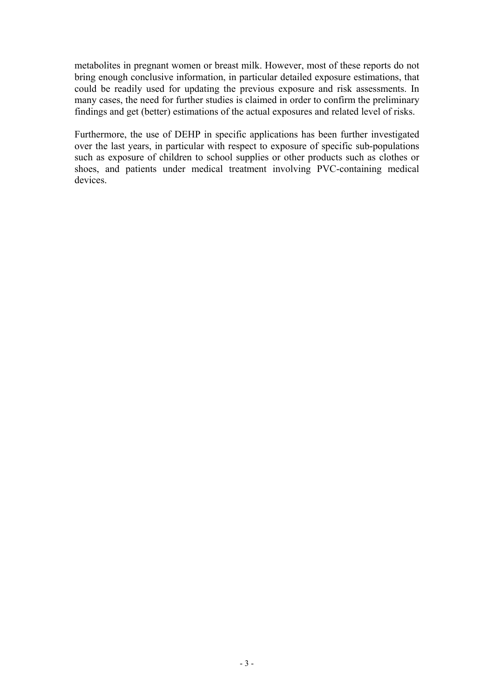metabolites in pregnant women or breast milk. However, most of these reports do not bring enough conclusive information, in particular detailed exposure estimations, that could be readily used for updating the previous exposure and risk assessments. In many cases, the need for further studies is claimed in order to confirm the preliminary findings and get (better) estimations of the actual exposures and related level of risks.

Furthermore, the use of DEHP in specific applications has been further investigated over the last years, in particular with respect to exposure of specific sub-populations such as exposure of children to school supplies or other products such as clothes or shoes, and patients under medical treatment involving PVC-containing medical devices.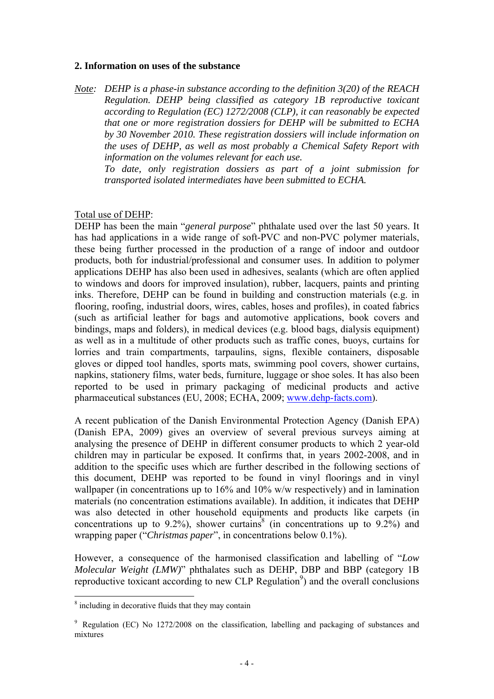#### **2. Information on uses of the substance**

*Note: DEHP is a phase-in substance according to the definition 3(20) of the REACH Regulation. DEHP being classified as category 1B reproductive toxicant according to Regulation (EC) 1272/2008 (CLP), it can reasonably be expected that one or more registration dossiers for DEHP will be submitted to ECHA by 30 November 2010. These registration dossiers will include information on the uses of DEHP, as well as most probably a Chemical Safety Report with information on the volumes relevant for each use.* 

 *To date, only registration dossiers as part of a joint submission for transported isolated intermediates have been submitted to ECHA.* 

Total use of DEHP:

DEHP has been the main "*general purpose*" phthalate used over the last 50 years. It has had applications in a wide range of soft-PVC and non-PVC polymer materials, these being further processed in the production of a range of indoor and outdoor products, both for industrial/professional and consumer uses. In addition to polymer applications DEHP has also been used in adhesives, sealants (which are often applied to windows and doors for improved insulation), rubber, lacquers, paints and printing inks. Therefore, DEHP can be found in building and construction materials (e.g. in flooring, roofing, industrial doors, wires, cables, hoses and profiles), in coated fabrics (such as artificial leather for bags and automotive applications, book covers and bindings, maps and folders), in medical devices (e.g. blood bags, dialysis equipment) as well as in a multitude of other products such as traffic cones, buoys, curtains for lorries and train compartments, tarpaulins, signs, flexible containers, disposable gloves or dipped tool handles, sports mats, swimming pool covers, shower curtains, napkins, stationery films, water beds, furniture, luggage or shoe soles. It has also been reported to be used in primary packaging of medicinal products and active pharmaceutical substances (EU, 2008; ECHA, 2009; www.dehp-facts.com).

A recent publication of the Danish Environmental Protection Agency (Danish EPA) (Danish EPA, 2009) gives an overview of several previous surveys aiming at analysing the presence of DEHP in different consumer products to which 2 year-old children may in particular be exposed. It confirms that, in years 2002-2008, and in addition to the specific uses which are further described in the following sections of this document, DEHP was reported to be found in vinyl floorings and in vinyl wallpaper (in concentrations up to 16% and 10% w/w respectively) and in lamination materials (no concentration estimations available). In addition, it indicates that DEHP was also detected in other household equipments and products like carpets (in concentrations up to 9.2%), shower curtains<sup>8</sup> (in concentrations up to 9.2%) and wrapping paper ("*Christmas paper*", in concentrations below 0.1%).

However, a consequence of the harmonised classification and labelling of "*Low Molecular Weight (LMW)*" phthalates such as DEHP, DBP and BBP (category 1B reproductive toxicant according to new CLP Regulation<sup>9</sup>) and the overall conclusions

<sup>&</sup>lt;sup>8</sup> including in decorative fluids that they may contain

<sup>&</sup>lt;sup>9</sup> Regulation (EC) No 1272/2008 on the classification, labelling and packaging of substances and mixtures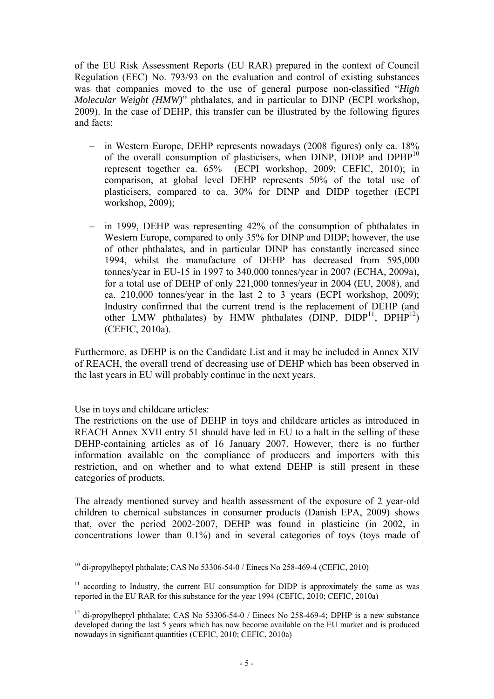of the EU Risk Assessment Reports (EU RAR) prepared in the context of Council Regulation (EEC) No. 793/93 on the evaluation and control of existing substances was that companies moved to the use of general purpose non-classified "*High Molecular Weight (HMW)*" phthalates, and in particular to DINP (ECPI workshop, 2009). In the case of DEHP, this transfer can be illustrated by the following figures and facts:

- in Western Europe, DEHP represents nowadays (2008 figures) only ca. 18% of the overall consumption of plasticisers, when DINP, DIDP and DPHP<sup>10</sup> represent together ca. 65% (ECPI workshop, 2009; CEFIC, 2010); in comparison, at global level DEHP represents 50% of the total use of plasticisers, compared to ca. 30% for DINP and DIDP together (ECPI workshop, 2009);
- in 1999, DEHP was representing 42% of the consumption of phthalates in Western Europe, compared to only 35% for DINP and DIDP; however, the use of other phthalates, and in particular DINP has constantly increased since 1994, whilst the manufacture of DEHP has decreased from 595,000 tonnes/year in EU-15 in 1997 to 340,000 tonnes/year in 2007 (ECHA, 2009a), for a total use of DEHP of only 221,000 tonnes/year in 2004 (EU, 2008), and ca. 210,000 tonnes/year in the last 2 to 3 years (ECPI workshop, 2009); Industry confirmed that the current trend is the replacement of DEHP (and other LMW phthalates) by HMW phthalates (DINP,  $DIDP^{11}$ ,  $DPHP^{12}$ ) (CEFIC, 2010a).

Furthermore, as DEHP is on the Candidate List and it may be included in Annex XIV of REACH, the overall trend of decreasing use of DEHP which has been observed in the last years in EU will probably continue in the next years.

Use in toys and childcare articles:

The restrictions on the use of DEHP in toys and childcare articles as introduced in REACH Annex XVII entry 51 should have led in EU to a halt in the selling of these DEHP-containing articles as of 16 January 2007. However, there is no further information available on the compliance of producers and importers with this restriction, and on whether and to what extend DEHP is still present in these categories of products.

The already mentioned survey and health assessment of the exposure of 2 year-old children to chemical substances in consumer products (Danish EPA, 2009) shows that, over the period 2002-2007, DEHP was found in plasticine (in 2002, in concentrations lower than 0.1%) and in several categories of toys (toys made of

 $\overline{a}$  $^{10}$  di-propylheptyl phthalate; CAS No 53306-54-0 / Einecs No 258-469-4 (CEFIC, 2010)

 $11$  according to Industry, the current EU consumption for DIDP is approximately the same as was reported in the EU RAR for this substance for the year 1994 (CEFIC, 2010; CEFIC, 2010a)

<sup>&</sup>lt;sup>12</sup> di-propylheptyl phthalate: CAS No 53306-54-0 / Einecs No 258-469-4; DPHP is a new substance developed during the last 5 years which has now become available on the EU market and is produced nowadays in significant quantities (CEFIC, 2010; CEFIC, 2010a)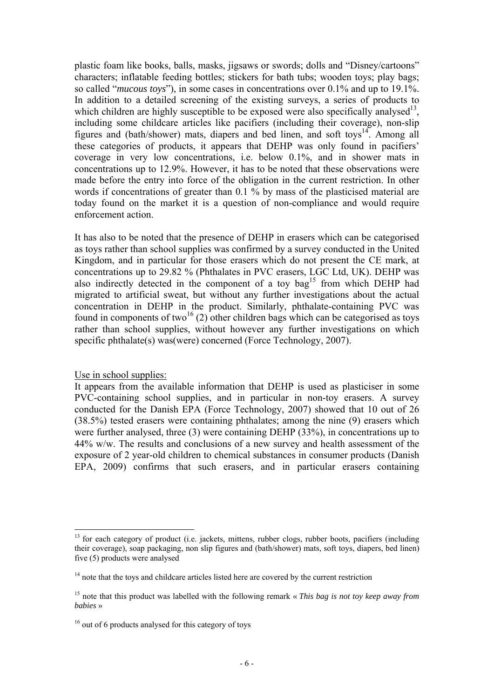plastic foam like books, balls, masks, jigsaws or swords; dolls and "Disney/cartoons" characters; inflatable feeding bottles; stickers for bath tubs; wooden toys; play bags; so called "*mucous toys*"), in some cases in concentrations over 0.1% and up to 19.1%. In addition to a detailed screening of the existing surveys, a series of products to which children are highly susceptible to be exposed were also specifically analysed<sup>13</sup>, including some childcare articles like pacifiers (including their coverage), non-slip figures and (bath/shower) mats, diapers and bed linen, and soft toys<sup>14</sup>. Among all these categories of products, it appears that DEHP was only found in pacifiers' coverage in very low concentrations, i.e. below 0.1%, and in shower mats in concentrations up to 12.9%. However, it has to be noted that these observations were made before the entry into force of the obligation in the current restriction. In other words if concentrations of greater than 0.1 % by mass of the plasticised material are today found on the market it is a question of non-compliance and would require enforcement action.

It has also to be noted that the presence of DEHP in erasers which can be categorised as toys rather than school supplies was confirmed by a survey conducted in the United Kingdom, and in particular for those erasers which do not present the CE mark, at concentrations up to 29.82 % (Phthalates in PVC erasers, LGC Ltd, UK). DEHP was also indirectly detected in the component of a toy bag<sup>15</sup> from which DEHP had migrated to artificial sweat, but without any further investigations about the actual concentration in DEHP in the product. Similarly, phthalate-containing PVC was found in components of two<sup>16</sup> (2) other children bags which can be categorised as toys rather than school supplies, without however any further investigations on which specific phthalate(s) was (were) concerned (Force Technology, 2007).

#### Use in school supplies:

 $\overline{a}$ 

It appears from the available information that DEHP is used as plasticiser in some PVC-containing school supplies, and in particular in non-toy erasers. A survey conducted for the Danish EPA (Force Technology, 2007) showed that 10 out of 26 (38.5%) tested erasers were containing phthalates; among the nine (9) erasers which were further analysed, three (3) were containing DEHP (33%), in concentrations up to 44% w/w. The results and conclusions of a new survey and health assessment of the exposure of 2 year-old children to chemical substances in consumer products (Danish EPA, 2009) confirms that such erasers, and in particular erasers containing

<sup>&</sup>lt;sup>13</sup> for each category of product (i.e. jackets, mittens, rubber clogs, rubber boots, pacifiers (including their coverage), soap packaging, non slip figures and (bath/shower) mats, soft toys, diapers, bed linen) five (5) products were analysed

<sup>&</sup>lt;sup>14</sup> note that the toys and childcare articles listed here are covered by the current restriction

<sup>15</sup> note that this product was labelled with the following remark « *This bag is not toy keep away from babies* »

 $16$  out of 6 products analysed for this category of toys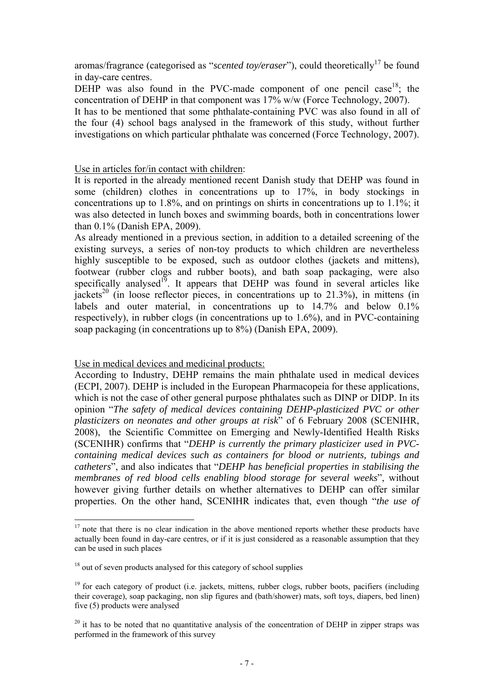aromas/fragrance (categorised as "*scented toy/eraser*"), could theoretically<sup>17</sup> be found in day-care centres.

DEHP was also found in the PVC-made component of one pencil case<sup>18</sup>; the concentration of DEHP in that component was 17% w/w (Force Technology, 2007).

It has to be mentioned that some phthalate-containing PVC was also found in all of the four (4) school bags analysed in the framework of this study, without further investigations on which particular phthalate was concerned (Force Technology, 2007).

# Use in articles for/in contact with children:

It is reported in the already mentioned recent Danish study that DEHP was found in some (children) clothes in concentrations up to 17%, in body stockings in concentrations up to 1.8%, and on printings on shirts in concentrations up to 1.1%; it was also detected in lunch boxes and swimming boards, both in concentrations lower than 0.1% (Danish EPA, 2009).

As already mentioned in a previous section, in addition to a detailed screening of the existing surveys, a series of non-toy products to which children are nevertheless highly susceptible to be exposed, such as outdoor clothes (jackets and mittens), footwear (rubber clogs and rubber boots), and bath soap packaging, were also specifically analysed<sup>19</sup>. It appears that DEHP was found in several articles like jackets<sup>20</sup> (in loose reflector pieces, in concentrations up to 21.3%), in mittens (in labels and outer material, in concentrations up to 14.7% and below 0.1% respectively), in rubber clogs (in concentrations up to 1.6%), and in PVC-containing soap packaging (in concentrations up to 8%) (Danish EPA, 2009).

### Use in medical devices and medicinal products:

According to Industry, DEHP remains the main phthalate used in medical devices (ECPI, 2007). DEHP is included in the European Pharmacopeia for these applications, which is not the case of other general purpose phthalates such as DINP or DIDP. In its opinion "*The safety of medical devices containing DEHP-plasticized PVC or other plasticizers on neonates and other groups at risk*" of 6 February 2008 (SCENIHR, 2008), the Scientific Committee on Emerging and Newly-Identified Health Risks (SCENIHR) confirms that "*DEHP is currently the primary plasticizer used in PVCcontaining medical devices such as containers for blood or nutrients, tubings and catheters*", and also indicates that "*DEHP has beneficial properties in stabilising the membranes of red blood cells enabling blood storage for several weeks*", without however giving further details on whether alternatives to DEHP can offer similar properties. On the other hand, SCENIHR indicates that, even though "*the use of* 

 $17$  note that there is no clear indication in the above mentioned reports whether these products have actually been found in day-care centres, or if it is just considered as a reasonable assumption that they can be used in such places

<sup>&</sup>lt;sup>18</sup> out of seven products analysed for this category of school supplies

 $19$  for each category of product (i.e. jackets, mittens, rubber clogs, rubber boots, pacifiers (including their coverage), soap packaging, non slip figures and (bath/shower) mats, soft toys, diapers, bed linen) five (5) products were analysed

 $20$  it has to be noted that no quantitative analysis of the concentration of DEHP in zipper straps was performed in the framework of this survey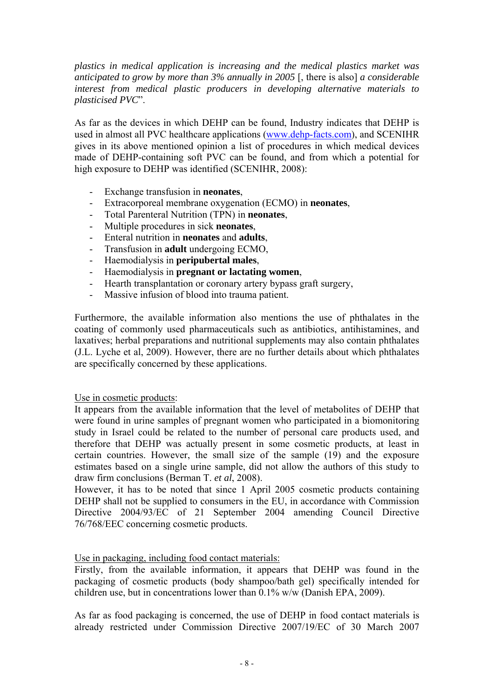*plastics in medical application is increasing and the medical plastics market was anticipated to grow by more than 3% annually in 2005* [, there is also] *a considerable interest from medical plastic producers in developing alternative materials to plasticised PVC*".

As far as the devices in which DEHP can be found, Industry indicates that DEHP is used in almost all PVC healthcare applications (www.dehp-facts.com), and SCENIHR gives in its above mentioned opinion a list of procedures in which medical devices made of DEHP-containing soft PVC can be found, and from which a potential for high exposure to DEHP was identified (SCENIHR, 2008):

- Exchange transfusion in **neonates**,
- Extracorporeal membrane oxygenation (ECMO) in **neonates**,
- Total Parenteral Nutrition (TPN) in **neonates**,
- Multiple procedures in sick **neonates**,
- Enteral nutrition in **neonates** and **adults**,
- Transfusion in **adult** undergoing ECMO,
- Haemodialysis in **peripubertal males**,
- Haemodialysis in **pregnant or lactating women**,<br>- Hearth transplantation or coronary artery hypass o
- Hearth transplantation or coronary artery bypass graft surgery,
- Massive infusion of blood into trauma patient.

Furthermore, the available information also mentions the use of phthalates in the coating of commonly used pharmaceuticals such as antibiotics, antihistamines, and laxatives; herbal preparations and nutritional supplements may also contain phthalates (J.L. Lyche et al, 2009). However, there are no further details about which phthalates are specifically concerned by these applications.

### Use in cosmetic products:

It appears from the available information that the level of metabolites of DEHP that were found in urine samples of pregnant women who participated in a biomonitoring study in Israel could be related to the number of personal care products used, and therefore that DEHP was actually present in some cosmetic products, at least in certain countries. However, the small size of the sample (19) and the exposure estimates based on a single urine sample, did not allow the authors of this study to draw firm conclusions (Berman T. *et al*, 2008).

However, it has to be noted that since 1 April 2005 cosmetic products containing DEHP shall not be supplied to consumers in the EU, in accordance with Commission Directive 2004/93/EC of 21 September 2004 amending Council Directive 76/768/EEC concerning cosmetic products.

### Use in packaging, including food contact materials:

Firstly, from the available information, it appears that DEHP was found in the packaging of cosmetic products (body shampoo/bath gel) specifically intended for children use, but in concentrations lower than 0.1% w/w (Danish EPA, 2009).

As far as food packaging is concerned, the use of DEHP in food contact materials is already restricted under Commission Directive 2007/19/EC of 30 March 2007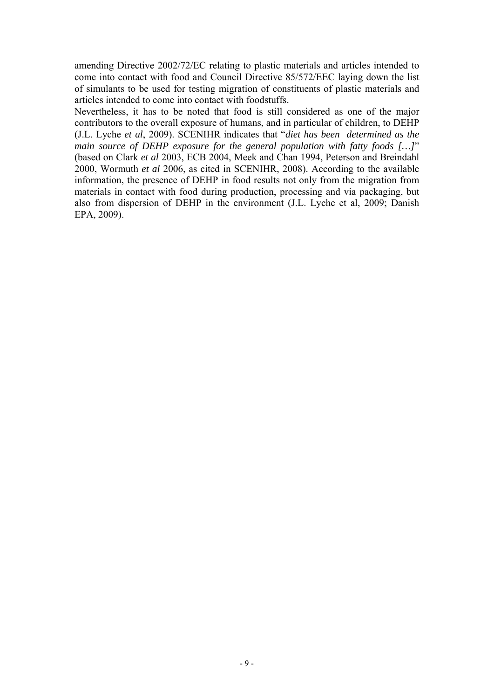amending Directive 2002/72/EC relating to plastic materials and articles intended to come into contact with food and Council Directive 85/572/EEC laying down the list of simulants to be used for testing migration of constituents of plastic materials and articles intended to come into contact with foodstuffs.

Nevertheless, it has to be noted that food is still considered as one of the major contributors to the overall exposure of humans, and in particular of children, to DEHP (J.L. Lyche *et al*, 2009). SCENIHR indicates that "*diet has been determined as the main source of DEHP exposure for the general population with fatty foods […]*" (based on Clark *et al* 2003, ECB 2004, Meek and Chan 1994, Peterson and Breindahl 2000, Wormuth *et al* 2006, as cited in SCENIHR, 2008). According to the available information, the presence of DEHP in food results not only from the migration from materials in contact with food during production, processing and via packaging, but also from dispersion of DEHP in the environment (J.L. Lyche et al, 2009; Danish EPA, 2009).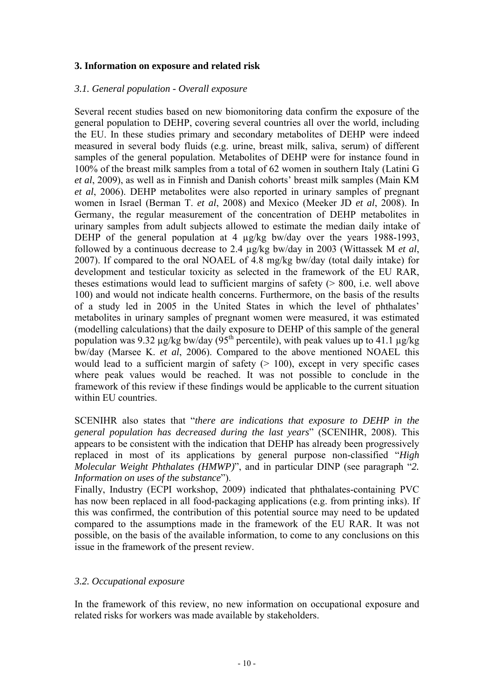# **3. Information on exposure and related risk**

### *3.1. General population - Overall exposure*

Several recent studies based on new biomonitoring data confirm the exposure of the general population to DEHP, covering several countries all over the world, including the EU. In these studies primary and secondary metabolites of DEHP were indeed measured in several body fluids (e.g. urine, breast milk, saliva, serum) of different samples of the general population. Metabolites of DEHP were for instance found in 100% of the breast milk samples from a total of 62 women in southern Italy (Latini G *et al*, 2009), as well as in Finnish and Danish cohorts' breast milk samples (Main KM *et al*, 2006). DEHP metabolites were also reported in urinary samples of pregnant women in Israel (Berman T. *et al*, 2008) and Mexico (Meeker JD *et al*, 2008). In Germany, the regular measurement of the concentration of DEHP metabolites in urinary samples from adult subjects allowed to estimate the median daily intake of DEHP of the general population at 4 µg/kg bw/day over the years 1988-1993, followed by a continuous decrease to 2.4 µg/kg bw/day in 2003 (Wittassek M *et al*, 2007). If compared to the oral NOAEL of 4.8 mg/kg bw/day (total daily intake) for development and testicular toxicity as selected in the framework of the EU RAR, theses estimations would lead to sufficient margins of safety  $($  > 800, i.e. well above 100) and would not indicate health concerns. Furthermore, on the basis of the results of a study led in 2005 in the United States in which the level of phthalates' metabolites in urinary samples of pregnant women were measured, it was estimated (modelling calculations) that the daily exposure to DEHP of this sample of the general population was 9.32  $\mu$ g/kg bw/day (95<sup>th</sup> percentile), with peak values up to 41.1  $\mu$ g/kg bw/day (Marsee K. *et al*, 2006). Compared to the above mentioned NOAEL this would lead to a sufficient margin of safety  $(> 100)$ , except in very specific cases where peak values would be reached. It was not possible to conclude in the framework of this review if these findings would be applicable to the current situation within EU countries.

SCENIHR also states that "*there are indications that exposure to DEHP in the general population has decreased during the last years*" (SCENIHR, 2008). This appears to be consistent with the indication that DEHP has already been progressively replaced in most of its applications by general purpose non-classified "*High Molecular Weight Phthalates (HMWP)*", and in particular DINP (see paragraph "*2. Information on uses of the substance*").

Finally, Industry (ECPI workshop, 2009) indicated that phthalates-containing PVC has now been replaced in all food-packaging applications (e.g. from printing inks). If this was confirmed, the contribution of this potential source may need to be updated compared to the assumptions made in the framework of the EU RAR. It was not possible, on the basis of the available information, to come to any conclusions on this issue in the framework of the present review.

### *3.2. Occupational exposure*

In the framework of this review, no new information on occupational exposure and related risks for workers was made available by stakeholders.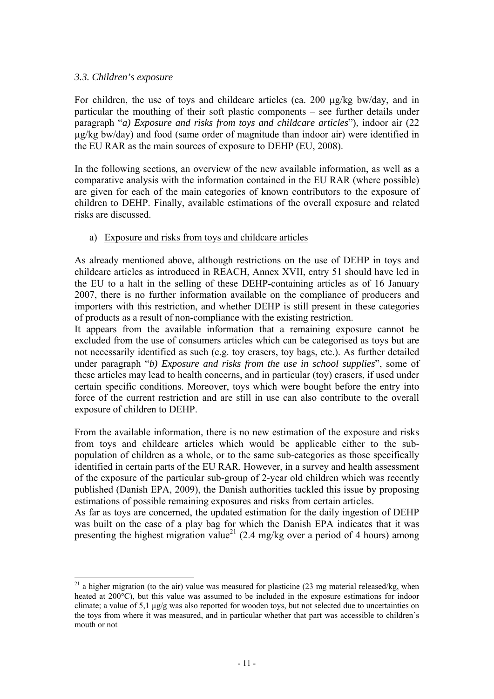# *3.3. Children's exposure*

 $\overline{a}$ 

For children, the use of toys and childcare articles (ca. 200 µg/kg bw/day, and in particular the mouthing of their soft plastic components – see further details under paragraph "*a) Exposure and risks from toys and childcare articles*"), indoor air (22 µg/kg bw/day) and food (same order of magnitude than indoor air) were identified in the EU RAR as the main sources of exposure to DEHP (EU, 2008).

In the following sections, an overview of the new available information, as well as a comparative analysis with the information contained in the EU RAR (where possible) are given for each of the main categories of known contributors to the exposure of children to DEHP. Finally, available estimations of the overall exposure and related risks are discussed.

# a) Exposure and risks from toys and childcare articles

As already mentioned above, although restrictions on the use of DEHP in toys and childcare articles as introduced in REACH, Annex XVII, entry 51 should have led in the EU to a halt in the selling of these DEHP-containing articles as of 16 January 2007, there is no further information available on the compliance of producers and importers with this restriction, and whether DEHP is still present in these categories of products as a result of non-compliance with the existing restriction.

It appears from the available information that a remaining exposure cannot be excluded from the use of consumers articles which can be categorised as toys but are not necessarily identified as such (e.g. toy erasers, toy bags, etc.). As further detailed under paragraph "*b) Exposure and risks from the use in school supplies*", some of these articles may lead to health concerns, and in particular (toy) erasers, if used under certain specific conditions. Moreover, toys which were bought before the entry into force of the current restriction and are still in use can also contribute to the overall exposure of children to DEHP.

From the available information, there is no new estimation of the exposure and risks from toys and childcare articles which would be applicable either to the subpopulation of children as a whole, or to the same sub-categories as those specifically identified in certain parts of the EU RAR. However, in a survey and health assessment of the exposure of the particular sub-group of 2-year old children which was recently published (Danish EPA, 2009), the Danish authorities tackled this issue by proposing estimations of possible remaining exposures and risks from certain articles.

As far as toys are concerned, the updated estimation for the daily ingestion of DEHP was built on the case of a play bag for which the Danish EPA indicates that it was presenting the highest migration value<sup>21</sup> (2.4 mg/kg over a period of 4 hours) among

 $^{21}$  a higher migration (to the air) value was measured for plasticine (23 mg material released/kg, when heated at 200<sup>°</sup>C), but this value was assumed to be included in the exposure estimations for indoor climate; a value of 5,1 µg/g was also reported for wooden toys, but not selected due to uncertainties on the toys from where it was measured, and in particular whether that part was accessible to children's mouth or not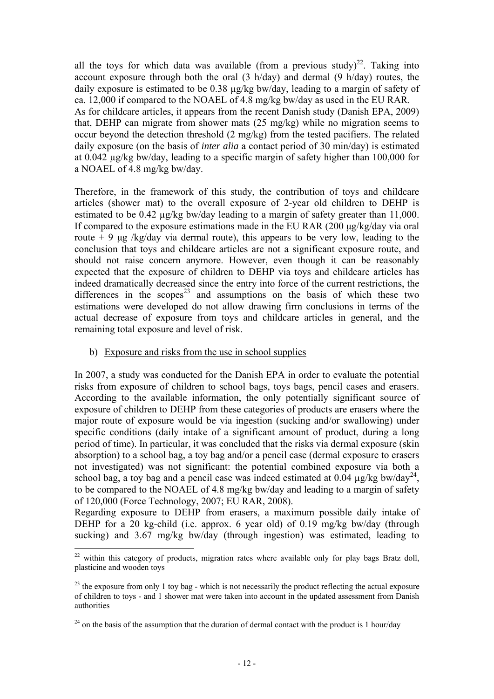all the toys for which data was available (from a previous study)<sup>22</sup>. Taking into account exposure through both the oral (3 h/day) and dermal (9 h/day) routes, the daily exposure is estimated to be 0.38 µg/kg bw/day, leading to a margin of safety of ca. 12,000 if compared to the NOAEL of 4.8 mg/kg bw/day as used in the EU RAR. As for childcare articles, it appears from the recent Danish study (Danish EPA, 2009) that, DEHP can migrate from shower mats (25 mg/kg) while no migration seems to occur beyond the detection threshold (2 mg/kg) from the tested pacifiers. The related daily exposure (on the basis of *inter alia* a contact period of 30 min/day) is estimated at 0.042 µg/kg bw/day, leading to a specific margin of safety higher than 100,000 for a NOAEL of 4.8 mg/kg bw/day.

Therefore, in the framework of this study, the contribution of toys and childcare articles (shower mat) to the overall exposure of 2-year old children to DEHP is estimated to be 0.42 µg/kg bw/day leading to a margin of safety greater than 11,000. If compared to the exposure estimations made in the EU RAR (200 μg/kg/day via oral route  $+9 \mu$ g /kg/day via dermal route), this appears to be very low, leading to the conclusion that toys and childcare articles are not a significant exposure route, and should not raise concern anymore. However, even though it can be reasonably expected that the exposure of children to DEHP via toys and childcare articles has indeed dramatically decreased since the entry into force of the current restrictions, the differences in the scopes<sup>23</sup> and assumptions on the basis of which these two estimations were developed do not allow drawing firm conclusions in terms of the actual decrease of exposure from toys and childcare articles in general, and the remaining total exposure and level of risk.

### b) Exposure and risks from the use in school supplies

 $\overline{a}$ 

In 2007, a study was conducted for the Danish EPA in order to evaluate the potential risks from exposure of children to school bags, toys bags, pencil cases and erasers. According to the available information, the only potentially significant source of exposure of children to DEHP from these categories of products are erasers where the major route of exposure would be via ingestion (sucking and/or swallowing) under specific conditions (daily intake of a significant amount of product, during a long period of time). In particular, it was concluded that the risks via dermal exposure (skin absorption) to a school bag, a toy bag and/or a pencil case (dermal exposure to erasers not investigated) was not significant: the potential combined exposure via both a school bag, a toy bag and a pencil case was indeed estimated at 0.04  $\mu$ g/kg bw/day<sup>24</sup>. to be compared to the NOAEL of 4.8 mg/kg bw/day and leading to a margin of safety of 120,000 (Force Technology, 2007; EU RAR, 2008).

Regarding exposure to DEHP from erasers, a maximum possible daily intake of DEHP for a 20 kg-child (i.e. approx. 6 year old) of 0.19 mg/kg bw/day (through sucking) and 3.67 mg/kg bw/day (through ingestion) was estimated, leading to

 $22$  within this category of products, migration rates where available only for play bags Bratz doll, plasticine and wooden toys

 $^{23}$  the exposure from only 1 toy bag - which is not necessarily the product reflecting the actual exposure of children to toys - and 1 shower mat were taken into account in the updated assessment from Danish authorities

 $24$  on the basis of the assumption that the duration of dermal contact with the product is 1 hour/day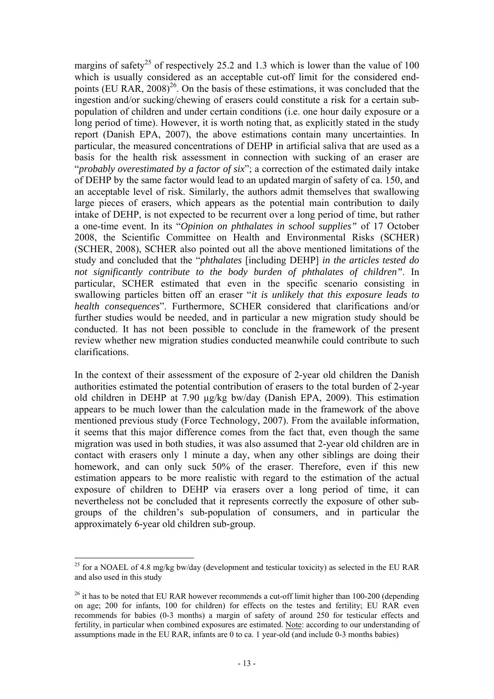margins of safety<sup>25</sup> of respectively 25.2 and 1.3 which is lower than the value of 100 which is usually considered as an acceptable cut-off limit for the considered endpoints (EU RAR,  $2008$ <sup>26</sup>. On the basis of these estimations, it was concluded that the ingestion and/or sucking/chewing of erasers could constitute a risk for a certain subpopulation of children and under certain conditions (i.e. one hour daily exposure or a long period of time). However, it is worth noting that, as explicitly stated in the study report (Danish EPA, 2007), the above estimations contain many uncertainties. In particular, the measured concentrations of DEHP in artificial saliva that are used as a basis for the health risk assessment in connection with sucking of an eraser are "*probably overestimated by a factor of six*"; a correction of the estimated daily intake of DEHP by the same factor would lead to an updated margin of safety of ca. 150, and an acceptable level of risk. Similarly, the authors admit themselves that swallowing large pieces of erasers, which appears as the potential main contribution to daily intake of DEHP, is not expected to be recurrent over a long period of time, but rather a one-time event. In its "*Opinion on phthalates in school supplies"* of 17 October 2008, the Scientific Committee on Health and Environmental Risks (SCHER) (SCHER, 2008), SCHER also pointed out all the above mentioned limitations of the study and concluded that the "*phthalates* [including DEHP] *in the articles tested do not significantly contribute to the body burden of phthalates of children"*. In particular, SCHER estimated that even in the specific scenario consisting in swallowing particles bitten off an eraser "*it is unlikely that this exposure leads to health consequences*". Furthermore, SCHER considered that clarifications and/or further studies would be needed, and in particular a new migration study should be conducted. It has not been possible to conclude in the framework of the present review whether new migration studies conducted meanwhile could contribute to such clarifications.

In the context of their assessment of the exposure of 2-year old children the Danish authorities estimated the potential contribution of erasers to the total burden of 2-year old children in DEHP at 7.90 µg/kg bw/day (Danish EPA, 2009). This estimation appears to be much lower than the calculation made in the framework of the above mentioned previous study (Force Technology, 2007). From the available information, it seems that this major difference comes from the fact that, even though the same migration was used in both studies, it was also assumed that 2-year old children are in contact with erasers only 1 minute a day, when any other siblings are doing their homework, and can only suck 50% of the eraser. Therefore, even if this new estimation appears to be more realistic with regard to the estimation of the actual exposure of children to DEHP via erasers over a long period of time, it can nevertheless not be concluded that it represents correctly the exposure of other subgroups of the children's sub-population of consumers, and in particular the approximately 6-year old children sub-group.

<sup>&</sup>lt;sup>25</sup> for a NOAEL of 4.8 mg/kg bw/day (development and testicular toxicity) as selected in the EU RAR and also used in this study

 $26$  it has to be noted that EU RAR however recommends a cut-off limit higher than 100-200 (depending on age; 200 for infants, 100 for children) for effects on the testes and fertility; EU RAR even recommends for babies (0-3 months) a margin of safety of around 250 for testicular effects and fertility, in particular when combined exposures are estimated. Note: according to our understanding of assumptions made in the EU RAR, infants are 0 to ca. 1 year-old (and include  $\overline{0}$ -3 months babies)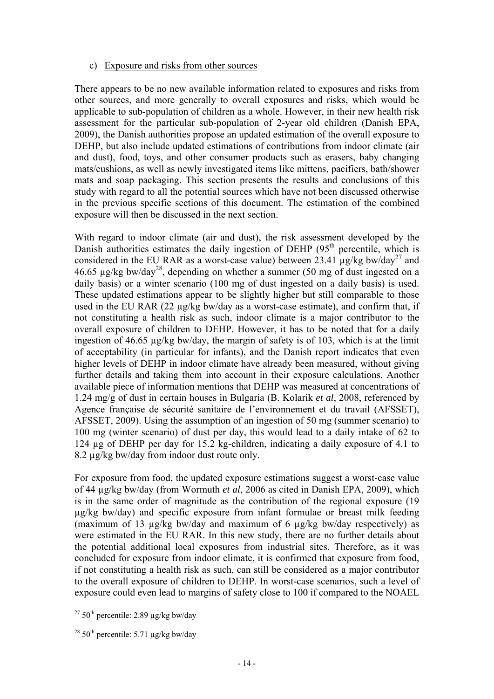### c) Exposure and risks from other sources

There appears to be no new available information related to exposures and risks from other sources, and more generally to overall exposures and risks, which would be applicable to sub-population of children as a whole. However, in their new health risk assessment for the particular sub-population of 2-year old children (Danish EPA, 2009), the Danish authorities propose an updated estimation of the overall exposure to DEHP, but also include updated estimations of contributions from indoor climate (air and dust), food, toys, and other consumer products such as erasers, baby changing mats/cushions, as well as newly investigated items like mittens, pacifiers, bath/shower mats and soap packaging. This section presents the results and conclusions of this study with regard to all the potential sources which have not been discussed otherwise in the previous specific sections of this document. The estimation of the combined exposure will then be discussed in the next section.

With regard to indoor climate (air and dust), the risk assessment developed by the Danish authorities estimates the daily ingestion of DEHP  $(95<sup>th</sup>$  percentile, which is considered in the EU RAR as a worst-case value) between  $23.41 \text{ kg/kg}$  bw/day<sup>27</sup> and 46.65  $\mu$ g/kg bw/day<sup>28</sup>, depending on whether a summer (50 mg of dust ingested on a daily basis) or a winter scenario (100 mg of dust ingested on a daily basis) is used. These updated estimations appear to be slightly higher but still comparable to those used in the EU RAR (22 µg/kg bw/day as a worst-case estimate), and confirm that, if not constituting a health risk as such, indoor climate is a major contributor to the overall exposure of children to DEHP. However, it has to be noted that for a daily ingestion of 46.65 µg/kg bw/day, the margin of safety is of 103, which is at the limit of acceptability (in particular for infants), and the Danish report indicates that even higher levels of DEHP in indoor climate have already been measured, without giving further details and taking them into account in their exposure calculations. Another available piece of information mentions that DEHP was measured at concentrations of 1.24 mg/g of dust in certain houses in Bulgaria (B. Kolarik *et al*, 2008, referenced by Agence française de sécurité sanitaire de l'environnement et du travail (AFSSET), AFSSET, 2009). Using the assumption of an ingestion of 50 mg (summer scenario) to 100 mg (winter scenario) of dust per day, this would lead to a daily intake of 62 to 124 µg of DEHP per day for 15.2 kg-children, indicating a daily exposure of 4.1 to 8.2 µg/kg bw/day from indoor dust route only.

For exposure from food, the updated exposure estimations suggest a worst-case value of 44 µg/kg bw/day (from Wormuth *et al*, 2006 as cited in Danish EPA, 2009), which is in the same order of magnitude as the contribution of the regional exposure (19 µg/kg bw/day) and specific exposure from infant formulae or breast milk feeding (maximum of 13 µg/kg bw/day and maximum of 6 µg/kg bw/day respectively) as were estimated in the EU RAR. In this new study, there are no further details about the potential additional local exposures from industrial sites. Therefore, as it was concluded for exposure from indoor climate, it is confirmed that exposure from food, if not constituting a health risk as such, can still be considered as a major contributor to the overall exposure of children to DEHP. In worst-case scenarios, such a level of exposure could even lead to margins of safety close to 100 if compared to the NOAEL

<sup>&</sup>lt;sup>27</sup> 50<sup>th</sup> percentile: 2.89  $\mu$ g/kg bw/day

<sup>&</sup>lt;sup>28</sup> 50<sup>th</sup> percentile: 5.71  $\mu$ g/kg bw/day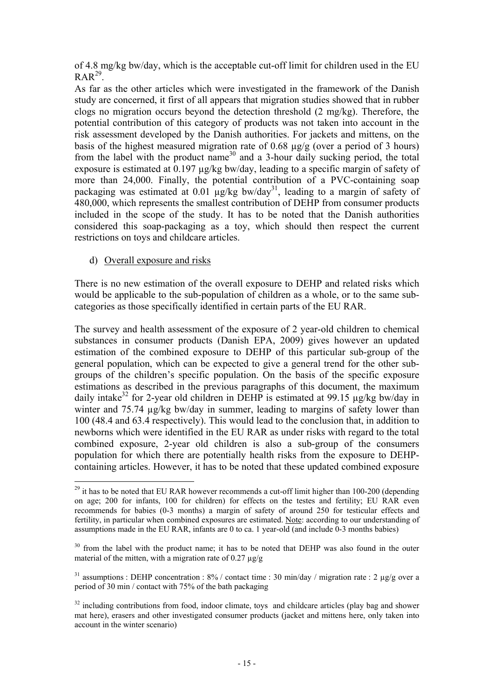of 4.8 mg/kg bw/day, which is the acceptable cut-off limit for children used in the EU  $RAR^{29}$ .

As far as the other articles which were investigated in the framework of the Danish study are concerned, it first of all appears that migration studies showed that in rubber clogs no migration occurs beyond the detection threshold (2 mg/kg). Therefore, the potential contribution of this category of products was not taken into account in the risk assessment developed by the Danish authorities. For jackets and mittens, on the basis of the highest measured migration rate of 0.68 µg/g (over a period of 3 hours) from the label with the product name<sup>30</sup> and a 3-hour daily sucking period, the total exposure is estimated at 0.197 ug/kg bw/day, leading to a specific margin of safety of more than 24,000. Finally, the potential contribution of a PVC-containing soap packaging was estimated at  $0.01$  µg/kg bw/day<sup>31</sup>, leading to a margin of safety of 480,000, which represents the smallest contribution of DEHP from consumer products included in the scope of the study. It has to be noted that the Danish authorities considered this soap-packaging as a toy, which should then respect the current restrictions on toys and childcare articles.

d) Overall exposure and risks

 $\overline{a}$ 

There is no new estimation of the overall exposure to DEHP and related risks which would be applicable to the sub-population of children as a whole, or to the same subcategories as those specifically identified in certain parts of the EU RAR.

The survey and health assessment of the exposure of 2 year-old children to chemical substances in consumer products (Danish EPA, 2009) gives however an updated estimation of the combined exposure to DEHP of this particular sub-group of the general population, which can be expected to give a general trend for the other subgroups of the children's specific population. On the basis of the specific exposure estimations as described in the previous paragraphs of this document, the maximum daily intake<sup>32</sup> for 2-year old children in DEHP is estimated at 99.15  $\mu$ g/kg bw/day in winter and 75.74  $\mu$ g/kg bw/day in summer, leading to margins of safety lower than 100 (48.4 and 63.4 respectively). This would lead to the conclusion that, in addition to newborns which were identified in the EU RAR as under risks with regard to the total combined exposure, 2-year old children is also a sub-group of the consumers population for which there are potentially health risks from the exposure to DEHPcontaining articles. However, it has to be noted that these updated combined exposure

 $^{29}$  it has to be noted that EU RAR however recommends a cut-off limit higher than 100-200 (depending on age; 200 for infants, 100 for children) for effects on the testes and fertility; EU RAR even recommends for babies (0-3 months) a margin of safety of around 250 for testicular effects and fertility, in particular when combined exposures are estimated. Note: according to our understanding of assumptions made in the EU RAR, infants are 0 to ca. 1 year-old (and include 0-3 months babies)

<sup>&</sup>lt;sup>30</sup> from the label with the product name; it has to be noted that DEHP was also found in the outer material of the mitten, with a migration rate of  $0.27 \mu g/g$ 

<sup>&</sup>lt;sup>31</sup> assumptions : DEHP concentration :  $8\%$  / contact time : 30 min/day / migration rate : 2 µg/g over a period of 30 min / contact with 75% of the bath packaging

 $32$  including contributions from food, indoor climate, toys and childcare articles (play bag and shower mat here), erasers and other investigated consumer products (jacket and mittens here, only taken into account in the winter scenario)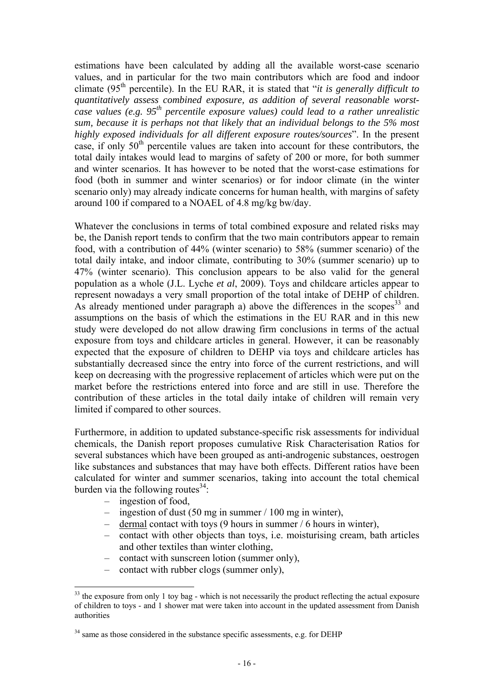estimations have been calculated by adding all the available worst-case scenario values, and in particular for the two main contributors which are food and indoor climate (95<sup>th</sup> percentile). In the EU RAR, it is stated that "*it is generally difficult to quantitatively assess combined exposure, as addition of several reasonable worstcase values (e.g. 95th percentile exposure values) could lead to a rather unrealistic sum, because it is perhaps not that likely that an individual belongs to the 5% most highly exposed individuals for all different exposure routes/sources*". In the present case, if only  $50<sup>th</sup>$  percentile values are taken into account for these contributors, the total daily intakes would lead to margins of safety of 200 or more, for both summer and winter scenarios. It has however to be noted that the worst-case estimations for food (both in summer and winter scenarios) or for indoor climate (in the winter scenario only) may already indicate concerns for human health, with margins of safety around 100 if compared to a NOAEL of 4.8 mg/kg bw/day.

Whatever the conclusions in terms of total combined exposure and related risks may be, the Danish report tends to confirm that the two main contributors appear to remain food, with a contribution of 44% (winter scenario) to 58% (summer scenario) of the total daily intake, and indoor climate, contributing to 30% (summer scenario) up to 47% (winter scenario). This conclusion appears to be also valid for the general population as a whole (J.L. Lyche *et al*, 2009). Toys and childcare articles appear to represent nowadays a very small proportion of the total intake of DEHP of children. As already mentioned under paragraph a) above the differences in the scopes<sup>33</sup> and assumptions on the basis of which the estimations in the EU RAR and in this new study were developed do not allow drawing firm conclusions in terms of the actual exposure from toys and childcare articles in general. However, it can be reasonably expected that the exposure of children to DEHP via toys and childcare articles has substantially decreased since the entry into force of the current restrictions, and will keep on decreasing with the progressive replacement of articles which were put on the market before the restrictions entered into force and are still in use. Therefore the contribution of these articles in the total daily intake of children will remain very limited if compared to other sources.

Furthermore, in addition to updated substance-specific risk assessments for individual chemicals, the Danish report proposes cumulative Risk Characterisation Ratios for several substances which have been grouped as anti-androgenic substances, oestrogen like substances and substances that may have both effects. Different ratios have been calculated for winter and summer scenarios, taking into account the total chemical burden via the following routes $34$ :

– ingestion of food,

- ingestion of dust (50 mg in summer / 100 mg in winter),
- dermal contact with toys (9 hours in summer / 6 hours in winter),
- contact with other objects than toys, i.e. moisturising cream, bath articles and other textiles than winter clothing,
- contact with sunscreen lotion (summer only),
- contact with rubber clogs (summer only),

 $33$  the exposure from only 1 toy bag - which is not necessarily the product reflecting the actual exposure of children to toys - and 1 shower mat were taken into account in the updated assessment from Danish authorities

<sup>&</sup>lt;sup>34</sup> same as those considered in the substance specific assessments, e.g. for DEHP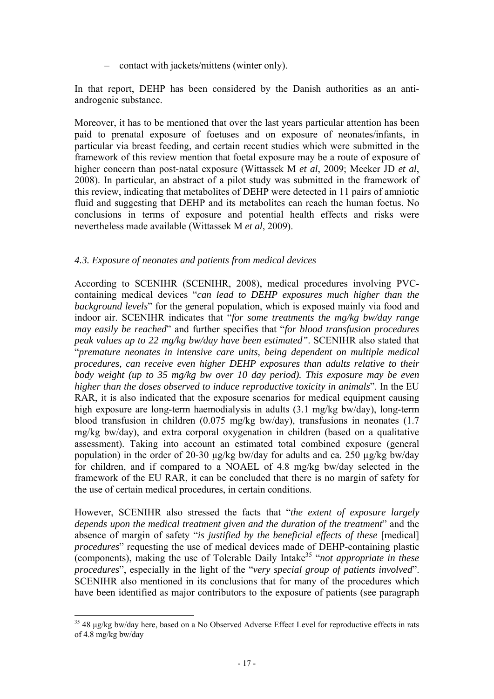– contact with jackets/mittens (winter only).

In that report, DEHP has been considered by the Danish authorities as an antiandrogenic substance.

Moreover, it has to be mentioned that over the last years particular attention has been paid to prenatal exposure of foetuses and on exposure of neonates/infants, in particular via breast feeding, and certain recent studies which were submitted in the framework of this review mention that foetal exposure may be a route of exposure of higher concern than post-natal exposure (Wittassek M *et al*, 2009; Meeker JD *et al*, 2008). In particular, an abstract of a pilot study was submitted in the framework of this review, indicating that metabolites of DEHP were detected in 11 pairs of amniotic fluid and suggesting that DEHP and its metabolites can reach the human foetus. No conclusions in terms of exposure and potential health effects and risks were nevertheless made available (Wittassek M *et al*, 2009).

# *4.3. Exposure of neonates and patients from medical devices*

According to SCENIHR (SCENIHR, 2008), medical procedures involving PVCcontaining medical devices "*can lead to DEHP exposures much higher than the background levels*" for the general population, which is exposed mainly via food and indoor air. SCENIHR indicates that "*for some treatments the mg/kg bw/day range may easily be reached*" and further specifies that "*for blood transfusion procedures peak values up to 22 mg/kg bw/day have been estimated"*. SCENIHR also stated that "*premature neonates in intensive care units, being dependent on multiple medical procedures, can receive even higher DEHP exposures than adults relative to their body weight (up to 35 mg/kg bw over 10 day period). This exposure may be even higher than the doses observed to induce reproductive toxicity in animals*". In the EU RAR, it is also indicated that the exposure scenarios for medical equipment causing high exposure are long-term haemodialysis in adults (3.1 mg/kg bw/day), long-term blood transfusion in children (0.075 mg/kg bw/day), transfusions in neonates (1.7 mg/kg bw/day), and extra corporal oxygenation in children (based on a qualitative assessment). Taking into account an estimated total combined exposure (general population) in the order of 20-30 µg/kg bw/day for adults and ca. 250 µg/kg bw/day for children, and if compared to a NOAEL of 4.8 mg/kg bw/day selected in the framework of the EU RAR, it can be concluded that there is no margin of safety for the use of certain medical procedures, in certain conditions.

However, SCENIHR also stressed the facts that "*the extent of exposure largely depends upon the medical treatment given and the duration of the treatment*" and the absence of margin of safety "*is justified by the beneficial effects of these* [medical] *procedures*" requesting the use of medical devices made of DEHP-containing plastic (components), making the use of Tolerable Daily Intake35 "*not appropriate in these procedures*", especially in the light of the "*very special group of patients involved*". SCENIHR also mentioned in its conclusions that for many of the procedures which have been identified as major contributors to the exposure of patients (see paragraph

 $\overline{a}$ 35 48 μg/kg bw/day here, based on a No Observed Adverse Effect Level for reproductive effects in rats of 4.8 mg/kg bw/day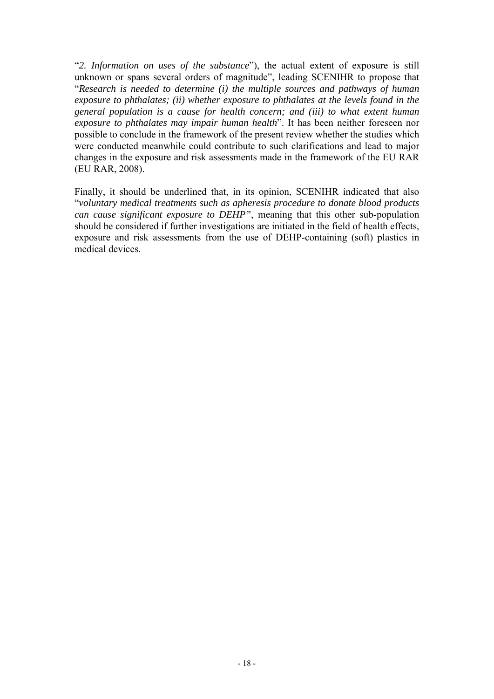"*2. Information on uses of the substance*"), the actual extent of exposure is still unknown or spans several orders of magnitude", leading SCENIHR to propose that "*Research is needed to determine (i) the multiple sources and pathways of human exposure to phthalates; (ii) whether exposure to phthalates at the levels found in the general population is a cause for health concern; and (iii) to what extent human exposure to phthalates may impair human health*". It has been neither foreseen nor possible to conclude in the framework of the present review whether the studies which were conducted meanwhile could contribute to such clarifications and lead to major changes in the exposure and risk assessments made in the framework of the EU RAR (EU RAR, 2008).

Finally, it should be underlined that, in its opinion, SCENIHR indicated that also "*voluntary medical treatments such as apheresis procedure to donate blood products can cause significant exposure to DEHP"*, meaning that this other sub-population should be considered if further investigations are initiated in the field of health effects, exposure and risk assessments from the use of DEHP-containing (soft) plastics in medical devices.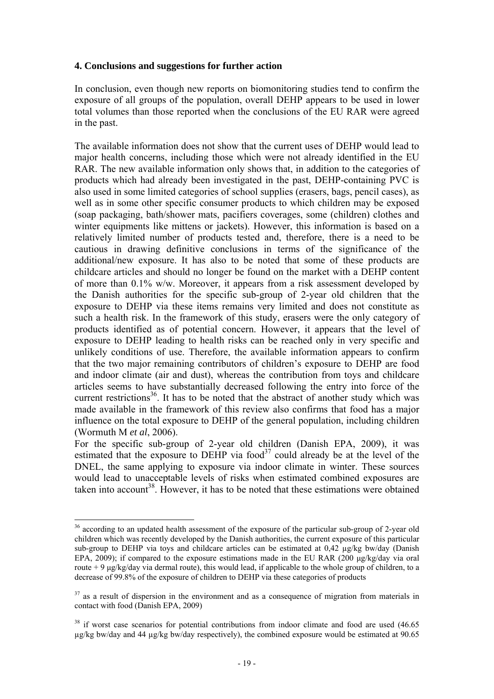# **4. Conclusions and suggestions for further action**

In conclusion, even though new reports on biomonitoring studies tend to confirm the exposure of all groups of the population, overall DEHP appears to be used in lower total volumes than those reported when the conclusions of the EU RAR were agreed in the past.

The available information does not show that the current uses of DEHP would lead to major health concerns, including those which were not already identified in the EU RAR. The new available information only shows that, in addition to the categories of products which had already been investigated in the past, DEHP-containing PVC is also used in some limited categories of school supplies (erasers, bags, pencil cases), as well as in some other specific consumer products to which children may be exposed (soap packaging, bath/shower mats, pacifiers coverages, some (children) clothes and winter equipments like mittens or jackets). However, this information is based on a relatively limited number of products tested and, therefore, there is a need to be cautious in drawing definitive conclusions in terms of the significance of the additional/new exposure. It has also to be noted that some of these products are childcare articles and should no longer be found on the market with a DEHP content of more than 0.1% w/w. Moreover, it appears from a risk assessment developed by the Danish authorities for the specific sub-group of 2-year old children that the exposure to DEHP via these items remains very limited and does not constitute as such a health risk. In the framework of this study, erasers were the only category of products identified as of potential concern. However, it appears that the level of exposure to DEHP leading to health risks can be reached only in very specific and unlikely conditions of use. Therefore, the available information appears to confirm that the two major remaining contributors of children's exposure to DEHP are food and indoor climate (air and dust), whereas the contribution from toys and childcare articles seems to have substantially decreased following the entry into force of the current restrictions<sup>36</sup>. It has to be noted that the abstract of another study which was made available in the framework of this review also confirms that food has a major influence on the total exposure to DEHP of the general population, including children (Wormuth M *et al*, 2006).

For the specific sub-group of 2-year old children (Danish EPA, 2009), it was estimated that the exposure to DEHP via food<sup>37</sup> could already be at the level of the DNEL, the same applying to exposure via indoor climate in winter. These sources would lead to unacceptable levels of risks when estimated combined exposures are taken into account<sup>38</sup>. However, it has to be noted that these estimations were obtained

<sup>&</sup>lt;sup>36</sup> according to an updated health assessment of the exposure of the particular sub-group of 2-year old children which was recently developed by the Danish authorities, the current exposure of this particular sub-group to DEHP via toys and childcare articles can be estimated at 0,42 µg/kg bw/day (Danish EPA, 2009); if compared to the exposure estimations made in the EU RAR (200 μg/kg/day via oral route + 9  $\mu$ g/kg/day via dermal route), this would lead, if applicable to the whole group of children, to a decrease of 99.8% of the exposure of children to DEHP via these categories of products

 $37$  as a result of dispersion in the environment and as a consequence of migration from materials in contact with food (Danish EPA, 2009)

<sup>&</sup>lt;sup>38</sup> if worst case scenarios for potential contributions from indoor climate and food are used (46.65) µg/kg bw/day and 44 µg/kg bw/day respectively), the combined exposure would be estimated at 90.65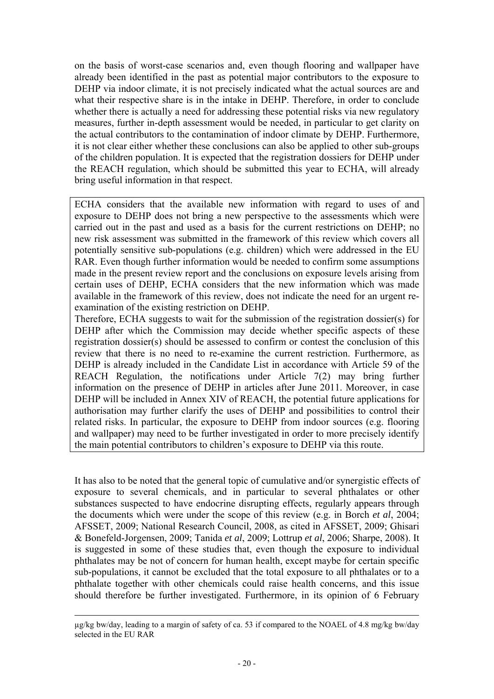on the basis of worst-case scenarios and, even though flooring and wallpaper have already been identified in the past as potential major contributors to the exposure to DEHP via indoor climate, it is not precisely indicated what the actual sources are and what their respective share is in the intake in DEHP. Therefore, in order to conclude whether there is actually a need for addressing these potential risks via new regulatory measures, further in-depth assessment would be needed, in particular to get clarity on the actual contributors to the contamination of indoor climate by DEHP. Furthermore, it is not clear either whether these conclusions can also be applied to other sub-groups of the children population. It is expected that the registration dossiers for DEHP under the REACH regulation, which should be submitted this year to ECHA, will already bring useful information in that respect.

ECHA considers that the available new information with regard to uses of and exposure to DEHP does not bring a new perspective to the assessments which were carried out in the past and used as a basis for the current restrictions on DEHP; no new risk assessment was submitted in the framework of this review which covers all potentially sensitive sub-populations (e.g. children) which were addressed in the EU RAR. Even though further information would be needed to confirm some assumptions made in the present review report and the conclusions on exposure levels arising from certain uses of DEHP, ECHA considers that the new information which was made available in the framework of this review, does not indicate the need for an urgent reexamination of the existing restriction on DEHP.

Therefore, ECHA suggests to wait for the submission of the registration dossier(s) for DEHP after which the Commission may decide whether specific aspects of these registration dossier(s) should be assessed to confirm or contest the conclusion of this review that there is no need to re-examine the current restriction. Furthermore, as DEHP is already included in the Candidate List in accordance with Article 59 of the REACH Regulation, the notifications under Article 7(2) may bring further information on the presence of DEHP in articles after June 2011. Moreover, in case DEHP will be included in Annex XIV of REACH, the potential future applications for authorisation may further clarify the uses of DEHP and possibilities to control their related risks. In particular, the exposure to DEHP from indoor sources (e.g. flooring and wallpaper) may need to be further investigated in order to more precisely identify the main potential contributors to children's exposure to DEHP via this route.

It has also to be noted that the general topic of cumulative and/or synergistic effects of exposure to several chemicals, and in particular to several phthalates or other substances suspected to have endocrine disrupting effects, regularly appears through the documents which were under the scope of this review (e.g. in Borch *et al*, 2004; AFSSET, 2009; National Research Council, 2008, as cited in AFSSET, 2009; Ghisari & Bonefeld-Jorgensen, 2009; Tanida *et al*, 2009; Lottrup *et al*, 2006; Sharpe, 2008). It is suggested in some of these studies that, even though the exposure to individual phthalates may be not of concern for human health, except maybe for certain specific sub-populations, it cannot be excluded that the total exposure to all phthalates or to a phthalate together with other chemicals could raise health concerns, and this issue should therefore be further investigated. Furthermore, in its opinion of 6 February

µg/kg bw/day, leading to a margin of safety of ca. 53 if compared to the NOAEL of 4.8 mg/kg bw/day selected in the EU RAR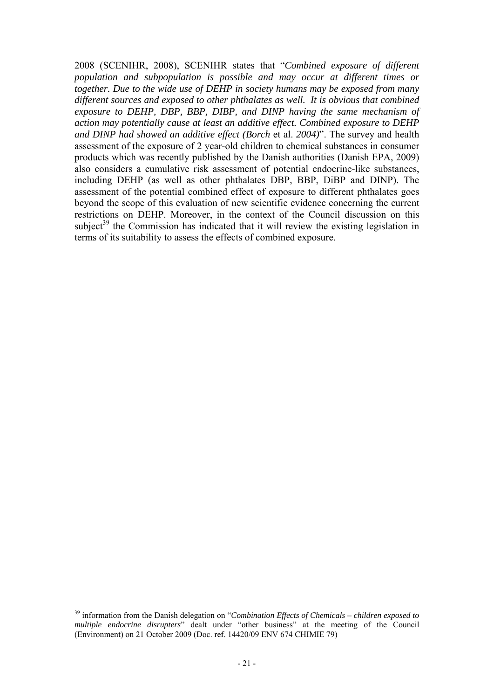2008 (SCENIHR, 2008), SCENIHR states that "*Combined exposure of different population and subpopulation is possible and may occur at different times or together. Due to the wide use of DEHP in society humans may be exposed from many different sources and exposed to other phthalates as well. It is obvious that combined exposure to DEHP, DBP, BBP, DIBP, and DINP having the same mechanism of action may potentially cause at least an additive effect. Combined exposure to DEHP and DINP had showed an additive effect (Borch* et al. *2004)*". The survey and health assessment of the exposure of 2 year-old children to chemical substances in consumer products which was recently published by the Danish authorities (Danish EPA, 2009) also considers a cumulative risk assessment of potential endocrine-like substances, including DEHP (as well as other phthalates DBP, BBP, DiBP and DINP). The assessment of the potential combined effect of exposure to different phthalates goes beyond the scope of this evaluation of new scientific evidence concerning the current restrictions on DEHP. Moreover, in the context of the Council discussion on this subject<sup>39</sup> the Commission has indicated that it will review the existing legislation in terms of its suitability to assess the effects of combined exposure.

<sup>39</sup> information from the Danish delegation on "*Combination Effects of Chemicals – children exposed to multiple endocrine disrupters*" dealt under "other business" at the meeting of the Council (Environment) on 21 October 2009 (Doc. ref. 14420/09 ENV 674 CHIMIE 79)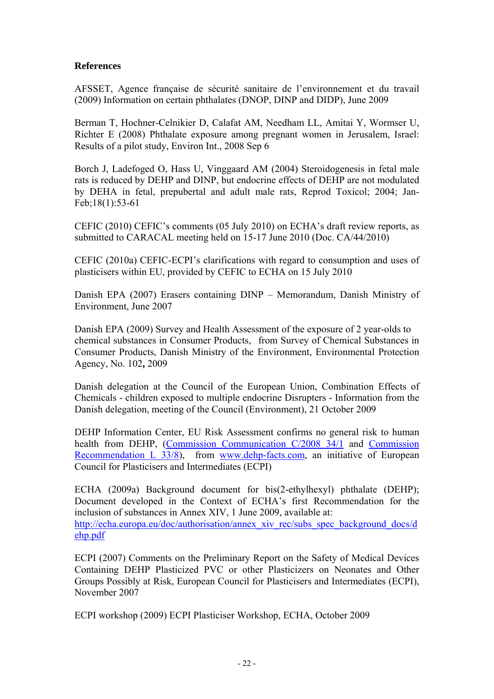# **References**

AFSSET, Agence française de sécurité sanitaire de l'environnement et du travail (2009) Information on certain phthalates (DNOP, DINP and DIDP), June 2009

Berman T, Hochner-Celnikier D, Calafat AM, Needham LL, Amitai Y, Wormser U, Richter E (2008) Phthalate exposure among pregnant women in Jerusalem, Israel: Results of a pilot study, Environ Int., 2008 Sep 6

Borch J, Ladefoged O, Hass U, Vinggaard AM (2004) Steroidogenesis in fetal male rats is reduced by DEHP and DINP, but endocrine effects of DEHP are not modulated by DEHA in fetal, prepubertal and adult male rats, Reprod Toxicol; 2004; Jan-Feb;18(1):53-61

CEFIC (2010) CEFIC's comments (05 July 2010) on ECHA's draft review reports, as submitted to CARACAL meeting held on 15-17 June 2010 (Doc. CA/44/2010)

CEFIC (2010a) CEFIC-ECPI's clarifications with regard to consumption and uses of plasticisers within EU, provided by CEFIC to ECHA on 15 July 2010

Danish EPA (2007) Erasers containing DINP – Memorandum, Danish Ministry of Environment, June 2007

Danish EPA (2009) Survey and Health Assessment of the exposure of 2 year-olds to chemical substances in Consumer Products, from Survey of Chemical Substances in Consumer Products, Danish Ministry of the Environment, Environmental Protection Agency, No. 102**,** 2009

Danish delegation at the Council of the European Union, Combination Effects of Chemicals - children exposed to multiple endocrine Disrupters - Information from the Danish delegation, meeting of the Council (Environment), 21 October 2009

DEHP Information Center, EU Risk Assessment confirms no general risk to human health from DEHP, (Commission Communication C/2008 34/1 and Commission Recommendation L 33/8), from www.dehp-facts.com, an initiative of European Council for Plasticisers and Intermediates (ECPI)

ECHA (2009a) Background document for bis(2-ethylhexyl) phthalate (DEHP); Document developed in the Context of ECHA's first Recommendation for the inclusion of substances in Annex XIV, 1 June 2009, available at: http://echa.europa.eu/doc/authorisation/annex\_xiv\_rec/subs\_spec\_background\_docs/d ehp.pdf

ECPI (2007) Comments on the Preliminary Report on the Safety of Medical Devices Containing DEHP Plasticized PVC or other Plasticizers on Neonates and Other Groups Possibly at Risk, European Council for Plasticisers and Intermediates (ECPI), November 2007

ECPI workshop (2009) ECPI Plasticiser Workshop, ECHA, October 2009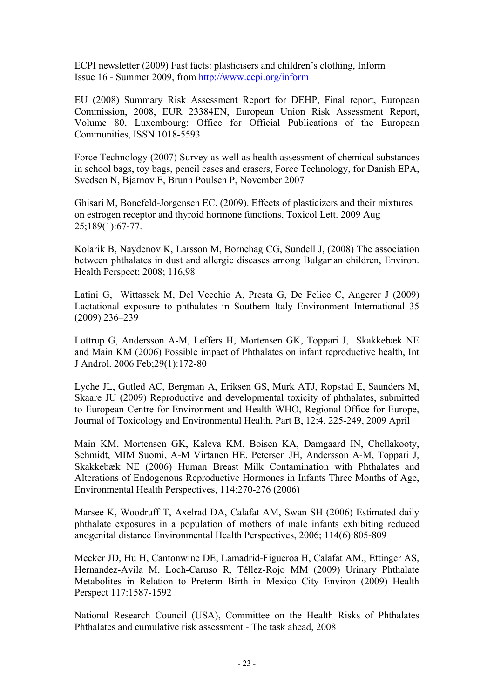ECPI newsletter (2009) Fast facts: plasticisers and children's clothing, Inform Issue 16 - Summer 2009, from http://www.ecpi.org/inform

EU (2008) Summary Risk Assessment Report for DEHP, Final report, European Commission, 2008, EUR 23384EN, European Union Risk Assessment Report, Volume 80, Luxembourg: Office for Official Publications of the European Communities, ISSN 1018-5593

Force Technology (2007) Survey as well as health assessment of chemical substances in school bags, toy bags, pencil cases and erasers, Force Technology, for Danish EPA, Svedsen N, Bjarnov E, Brunn Poulsen P, November 2007

Ghisari M, Bonefeld-Jorgensen EC. (2009). Effects of plasticizers and their mixtures on estrogen receptor and thyroid hormone functions, Toxicol Lett. 2009 Aug 25;189(1):67-77.

Kolarik B, Naydenov K, Larsson M, Bornehag CG, Sundell J, (2008) The association between phthalates in dust and allergic diseases among Bulgarian children, Environ. Health Perspect; 2008; 116,98

Latini G, Wittassek M, Del Vecchio A, Presta G, De Felice C, Angerer J (2009) Lactational exposure to phthalates in Southern Italy Environment International 35 (2009) 236–239

Lottrup G, Andersson A-M, Leffers H, Mortensen GK, Toppari J, Skakkebæk NE and Main KM (2006) Possible impact of Phthalates on infant reproductive health, Int J Androl. 2006 Feb;29(1):172-80

Lyche JL, Gutled AC, Bergman A, Eriksen GS, Murk ATJ, Ropstad E, Saunders M, Skaare JU (2009) Reproductive and developmental toxicity of phthalates, submitted to European Centre for Environment and Health WHO, Regional Office for Europe, Journal of Toxicology and Environmental Health, Part B, 12:4, 225-249, 2009 April

Main KM, Mortensen GK, Kaleva KM, Boisen KA, Damgaard IN, Chellakooty, Schmidt, MIM Suomi, A-M Virtanen HE, Petersen JH, Andersson A-M, Toppari J, Skakkebæk NE (2006) Human Breast Milk Contamination with Phthalates and Alterations of Endogenous Reproductive Hormones in Infants Three Months of Age, Environmental Health Perspectives, 114:270-276 (2006)

Marsee K, Woodruff T, Axelrad DA, Calafat AM, Swan SH (2006) Estimated daily phthalate exposures in a population of mothers of male infants exhibiting reduced anogenital distance Environmental Health Perspectives, 2006; 114(6):805-809

Meeker JD, Hu H, Cantonwine DE, Lamadrid-Figueroa H, Calafat AM., Ettinger AS, Hernandez-Avila M, Loch-Caruso R, Téllez-Rojo MM (2009) Urinary Phthalate Metabolites in Relation to Preterm Birth in Mexico City Environ (2009) Health Perspect 117:1587-1592

National Research Council (USA), Committee on the Health Risks of Phthalates Phthalates and cumulative risk assessment - The task ahead, 2008